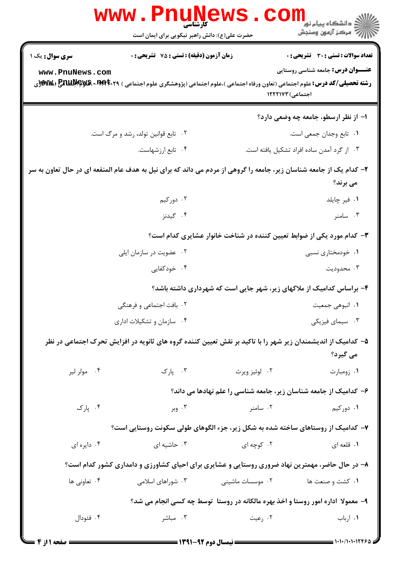|                                                                                                                                 | کا, شناسی<br>حضرت علی(ع): دانش راهبر نیکویی برای ایمان است                                                                        |                  | ڪ دانشڪاه پيا <sub>م</sub> نور<br>∕7 مرڪز آزمون وسنڊش                |  |  |
|---------------------------------------------------------------------------------------------------------------------------------|-----------------------------------------------------------------------------------------------------------------------------------|------------------|----------------------------------------------------------------------|--|--|
| <b>سری سوال :</b> یک ۱                                                                                                          | <b>زمان آزمون (دقیقه) : تستی : 75 تشریحی : 0</b>                                                                                  |                  | تعداد سوالات : تستى : 30 - تشريحي : 0                                |  |  |
| www.PnuNews.com                                                                                                                 | <b>رشته تحصیلی/کد درس:</b> علوم اجتماعی (تعاون ورفاه اجتماعی )،علوم اجتماعی (پژوهشگری علوم اجتماعی ) <b>۳۹۴۰۲۹ 3 ENUP (WE</b> (WW | اجتماعی) ۱۲۲۲۱۷۳ | <b>عنـــوان درس:</b> جامعه شناسی روستایی                             |  |  |
|                                                                                                                                 |                                                                                                                                   |                  | ۱– از نظر ارسطو، جامعه چه وضعی دارد؟                                 |  |  |
|                                                                                                                                 | ۰۲ تابع قوانین تولد، رشد و مرگ است.                                                                                               |                  | ۰۱ تابع وجدان جمعی است.                                              |  |  |
|                                                                                                                                 | ۰۴ تابع ارزشهاست.                                                                                                                 |                  | ۰۳ از گرد آمدن ساده افراد تشکیل یافته است.                           |  |  |
| ۲- کدام یک از جامعه شناسان زیر، جامعه را گروهی از مردم می داند که برای نیل به هدف عام المنفعه ای در حال تعاون به سر<br>می برند؟ |                                                                                                                                   |                  |                                                                      |  |  |
|                                                                                                                                 | ۰۲ دورکیم                                                                                                                         |                  | ۰۱ فیر چایلد                                                         |  |  |
|                                                                                                                                 | ۰۴ گیدنز                                                                                                                          |                  | ۰۳ سامنر                                                             |  |  |
| ۳- کدام مورد یکی از ضوابط تعیین کننده در شناخت خانوار عشایری کدام است؟                                                          |                                                                                                                                   |                  |                                                                      |  |  |
|                                                                                                                                 | ۰۲ عضویت در سازمان ایلی                                                                                                           |                  | ۰۱ خودمختاری نسبی                                                    |  |  |
|                                                                                                                                 | ۰۴ خودکفایی                                                                                                                       |                  | ۰۳ محدوديت                                                           |  |  |
|                                                                                                                                 |                                                                                                                                   |                  | ۴- براساس کدامیک از ملاکهای زیر، شهر جایی است که شهرداری داشته باشد؟ |  |  |
|                                                                                                                                 | ۲. بافت اجتماعی و فرهنگی                                                                                                          |                  | ۰۱ انبوهي جمعيت                                                      |  |  |
| ۰۴ سازمان و تشکیلات اداری                                                                                                       |                                                                                                                                   | ۰۳ سیمای فیزیکی  |                                                                      |  |  |
| ۵– کدامیک از اندیشمندان زیر شهر را با تاکید بر نقش تعیین کننده گروه های ثانویه در افزایش تحرک اجتماعی در نظر<br>می گیرد؟        |                                                                                                                                   |                  |                                                                      |  |  |
| ۰۴ مولر لير                                                                                                                     | ۰۳ پارک                                                                                                                           | ۰۲ لوئيز ويرث    | ۰۱ زومبارت                                                           |  |  |
|                                                                                                                                 |                                                                                                                                   |                  | ۶– کدامیک از جامعه شناسان زیر، جامعه شناسی را علم نهادها می داند؟    |  |  |
| ۰۴ پارک                                                                                                                         | ۰۳ وبر                                                                                                                            | ۰۲ سامنر         | ۰۱ دورکیم                                                            |  |  |
|                                                                                                                                 | ۷– کدامیک از روستاهای ساخته شده به شکل زیر، جزء الگوهای طولی سکونت روستایی است؟                                                   |                  |                                                                      |  |  |
| ۰۴ دايره اي                                                                                                                     | ۰۳ حاشیه ای                                                                                                                       | ۰۲ کوچه ای       | ۰۱ قلعه ای                                                           |  |  |
|                                                                                                                                 | ۸- در حال حاضر، مهمترین نهاد ضروری روستایی و عشایری برای احیای کشاورزی و دامداری کشور کدام است؟                                   |                  |                                                                      |  |  |
| ۰۴ تعاونی ها                                                                                                                    | ۰۳ شوراهای اسلامی                                                                                                                 | ۰۲ موسسات ماشینی | ۰۱ کشت و صنعت ها                                                     |  |  |
| ۹- معمولا ًاداره امور روستا و اخذ بهره مالکانه در روستا ً توسط چه کسی انجام می شد؟                                              |                                                                                                                                   |                  |                                                                      |  |  |
| ۰۴ فئودال                                                                                                                       | ۰۳ مباشر                                                                                                                          | ۰۲ رعیت          | ۰۱ ارباب                                                             |  |  |
|                                                                                                                                 |                                                                                                                                   |                  |                                                                      |  |  |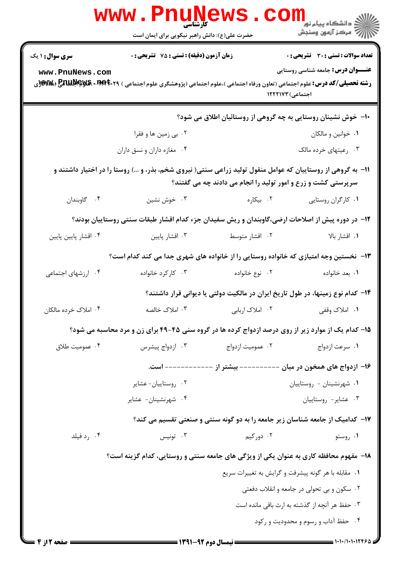|                                                                                                  | <b>www.Pnunews</b><br>حضرت علی(ع): دانش راهبر نیکویی برای ایمان است                                                                            |                                                                                |                                                              |  |
|--------------------------------------------------------------------------------------------------|------------------------------------------------------------------------------------------------------------------------------------------------|--------------------------------------------------------------------------------|--------------------------------------------------------------|--|
| <b>سری سوال : ۱ یک</b>                                                                           | زمان آزمون (دقیقه) : تستی : 75 ٪ تشریحی : 0                                                                                                    |                                                                                | <b>تعداد سوالات : تستی : 30 ٪ تشریحی : 0</b>                 |  |
| www.PnuNews.com                                                                                  | <b>رشته تحصیلی/کد درس:</b> علوم اجتماعی (تعاون ورفاه اجتماعی )،علوم اجتماعی (پژوهشگری علوم اجتماعی ) <b>۳۹۴۰۲۹× EnuP (Ww</b> y، و <b>Wwy</b> ، |                                                                                | <b>عنـــوان درس:</b> جامعه شناسی روستایی<br>اجتماعی) ۱۲۲۲۱۷۳ |  |
|                                                                                                  |                                                                                                                                                | ∙ا− خوش نشینان روستایی به چه گروهی از روستائیان اطلاق می شود؟                  |                                                              |  |
|                                                                                                  | ۰۲ بي زمين ها و فقرا                                                                                                                           |                                                                                | ۰۱ خوانین و مالکان                                           |  |
|                                                                                                  | ۰۴ مغازه داران و نسق داران                                                                                                                     |                                                                                | ۰۳ رعیتهای خرده مالک                                         |  |
|                                                                                                  | 1۱- به گروهی از روستاییان که عوامل منقول تولید زراعی سنتی( نیروی شخم، بذر، و …) روستا را در اختیار داشتند و                                    | سرپرستی کشت و زرع و امور تولید را انجام می دادند چه می گفتند؟                  |                                                              |  |
| ۰۴ گاوبندان                                                                                      | ۰۳ خوش نشین                                                                                                                                    | ۰۲ بیکاره                                                                      | ۰۱ کارگران روستایی                                           |  |
| ۱۲– در دوره پیش از اصلاحات ارضی،گاوبندان و ریش سفیدان جزء کدام اقشار طبقات سنتی روستاییان بودند؟ |                                                                                                                                                |                                                                                |                                                              |  |
| ۰۴ اقشار پایین پایین                                                                             | ۰۳ اقشار پایین                                                                                                                                 | ۰۲ اقشار متوسط                                                                 | ۰۱ اقشار بالا                                                |  |
|                                                                                                  | ۱۳- نخستین وجه امتیازی که خانواده روستایی را از خانواده های شهری جدا می کند کدام است؟                                                          |                                                                                |                                                              |  |
| ۰۴ ارزشهای اجتماعی                                                                               | ۰۳ کارکرد خانواده                                                                                                                              | ۲. نوع خانواده                                                                 | ٠١. بعد خانواده                                              |  |
|                                                                                                  |                                                                                                                                                | ۱۴– کدام نوع زمینها، در طول تاریخ ایران در مالکیت دولتی یا دیوانی قرار داشتند؟ |                                                              |  |
| ۰۴ املاک خرده مالکان                                                                             |                                                                                                                                                |                                                                                |                                                              |  |
|                                                                                                  | ۱۵- کدام یک از موارد زیر از روی درصد ازدواج کرده ها در گروه سنی ۴۵-۴۹ برای زن و مرد محاسبه می شود؟                                             |                                                                                |                                                              |  |
| ۰۴ عمومیت طلاق                                                                                   | ۰۳ ازدواج پیشرس                                                                                                                                | ۰۲ عمومیت ازدواج                                                               | ۰۱ سرعت ازدواج                                               |  |
|                                                                                                  |                                                                                                                                                | ۱۶– ازدواج های همخون در میان ---------- بیشتر از ------------ است.             |                                                              |  |
|                                                                                                  | ٠٢ روستاييان-عشاير                                                                                                                             |                                                                                | ٠١ شهرنشينان - روستاييان                                     |  |
|                                                                                                  | ۰۴ شهرنشینان- عشایر                                                                                                                            |                                                                                | ۰۳ عشاير- روستاييان                                          |  |
|                                                                                                  |                                                                                                                                                | ۱۷– کدامیک از جامعه شناسان زیر جامعه را به دو گونه سنتی و صنعتی تقسیم می کند؟  |                                                              |  |
| ۰۴ رد فیلد                                                                                       | تونيس $\cdot$ ۳                                                                                                                                | ۰۲ دورکیم                                                                      | ۰۱ روستو                                                     |  |
|                                                                                                  | ۱۸- مفهوم محافظه کاری به عنوان یکی از ویژگی های جامعه سنتی و روستایی، کدام گزینه است؟                                                          |                                                                                |                                                              |  |
|                                                                                                  |                                                                                                                                                |                                                                                | ۰۱ مقابله با هر گونه پیشرفت و گرایش به تغییرات سریع          |  |
|                                                                                                  |                                                                                                                                                |                                                                                | ۰۲ سکون و بی تحولی در جامعه و انقلاب دفعتی                   |  |
| ۰۳ حفظ هر آنچه از گذشته به ارث باقی مانده است                                                    |                                                                                                                                                |                                                                                |                                                              |  |
|                                                                                                  |                                                                                                                                                |                                                                                | ۰۴ حفظ آداب و رسوم و محدودیت و رکود                          |  |
| = صفحه 12; 4 =                                                                                   |                                                                                                                                                |                                                                                |                                                              |  |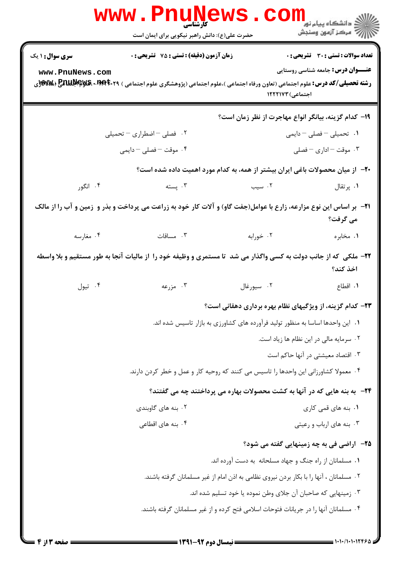| <b>WWW</b>                                | <b>15 میلیا</b><br>کارشناسی<br>حضرت علی(ع): دانش راهبر نیکویی برای ایمان است                                                                                                             |                                                               | ڪ دانشڪاه پيا <sub>م</sub> نور<br>ا∛ مرڪز آزمون وسنڊش                                    |
|-------------------------------------------|------------------------------------------------------------------------------------------------------------------------------------------------------------------------------------------|---------------------------------------------------------------|------------------------------------------------------------------------------------------|
| <b>سری سوال : ۱ یک</b><br>www.PnuNews.com | <b>زمان آزمون (دقیقه) : تستی : 75 تشریحی : 0</b><br><b>رشته تحصیلی/کد درس:</b> علوم اجتماعی (تعاون ورفاه اجتماعی )،علوم اجتماعی (پژوهشگری علوم اجتماعی ) <b>۲۹۴۴۰۲۹ ERUU PIR (%W</b> و%W | اجتماعی) ۱۲۲۲۱۷۳                                              | <b>تعداد سوالات : تستی : 30 ٪ تشریحی : 0</b><br><b>عنـــوان درس:</b> جامعه شناسی روستایی |
|                                           | ۰۲ فصلی – اضطراری – تحمیلی                                                                                                                                                               |                                                               | 1۹– كدام گزينه، بيانگر انواع مهاجرت از نظر زمان است؟<br>۰۱ تحمیلی – فصلی – دایمی         |
| ۰۴ موقت – فصلی – دایمی                    |                                                                                                                                                                                          |                                                               | ۰۳ موقت – اداری – فصلی                                                                   |
|                                           | +۲- از میان محصولات باغی ایران بیشتر از همه، به کدام مورد اهمیت داده شده است؟                                                                                                            |                                                               |                                                                                          |
| ۰۴ انگور                                  | ۲. سیب سنته استه                                                                                                                                                                         |                                                               | ۰۱ پرتقال                                                                                |
|                                           | <b>۳۱</b> - بر اساس این نوع مزارعه، زارع با عوامل(جفت گاو) و آلات کار خود به زراعت می پرداخت و بذر و زمین و آب را از مالک                                                                |                                                               | می گرفت؟                                                                                 |
|                                           | ۰۳ مساقات مغارسه                                                                                                                                                                         | ۰۲ خورابه                                                     | ۰۱ مخابره                                                                                |
|                                           | ۲۲– ملکی که از جانب دولت به کسی واگذار می شد تا مستمری و وظیفه خود را از مالیات آنجا به طور مستقیم و بلا واسطه                                                                           |                                                               | اخذ كند؟                                                                                 |
| ۰۴ تيول                                   | ۰۳ مزرعه                                                                                                                                                                                 | ۰۲ سیورغال                                                    | ۰۱ اقطاع                                                                                 |
|                                           |                                                                                                                                                                                          |                                                               | ۲۳– کدام گزینه، از ویژگیهای نظام بهره برداری دهقانی است؟                                 |
|                                           | ۰۱ این واحدها اساسا به منظور تولید فرآورده های کشاورزی به بازار تاسیس شده اند.                                                                                                           |                                                               |                                                                                          |
|                                           |                                                                                                                                                                                          |                                                               | ۰۲ سرمایه مالی در این نظام ها زیاد است.                                                  |
|                                           |                                                                                                                                                                                          |                                                               | ۰۳ اقتصاد معیشتی در آنها حاکم است                                                        |
|                                           | ۰۴ معمولا کشاورزانی این واحدها را تاسیس می کنند که روحیه کار و عمل و خطر کردن دارند.                                                                                                     |                                                               |                                                                                          |
|                                           | <b>34</b> - به بنه هایی که در آنها به کشت محصولات بهاره می پرداختند چه می گفتند؟                                                                                                         |                                                               |                                                                                          |
|                                           | ۰۲ بنه های گاوبندی<br>۰۴ بنه های اقطاعی                                                                                                                                                  |                                                               | ۰۱ بنه های قمی کاری<br>۰۳ بنه های ارباب و رعیتی                                          |
|                                           |                                                                                                                                                                                          |                                                               |                                                                                          |
|                                           |                                                                                                                                                                                          | ۰۱ مسلمانان از راه جنگ و جهاد مسلحانه به دست آورده اند.       | <b>۲۵</b> - اراضی فی به چه زمینهایی گفته می شود؟                                         |
|                                           | ۰۲ مسلمانان ، آنها را با بکار بردن نیروی نظامی به اذن امام از غیر مسلمانان گرفته باشند.                                                                                                  |                                                               |                                                                                          |
|                                           |                                                                                                                                                                                          | ٠٣ زمينهايي كه صاحبان آن جلاي وطن نموده يا خود تسليم شده اند. |                                                                                          |
|                                           | ۰۴ مسلمانان آنها را در جریانات فتوحات اسلامی فتح کرده و از غیر مسلمانان گرفته باشند.                                                                                                     |                                                               |                                                                                          |
|                                           |                                                                                                                                                                                          |                                                               |                                                                                          |

1.1.1.1.12464